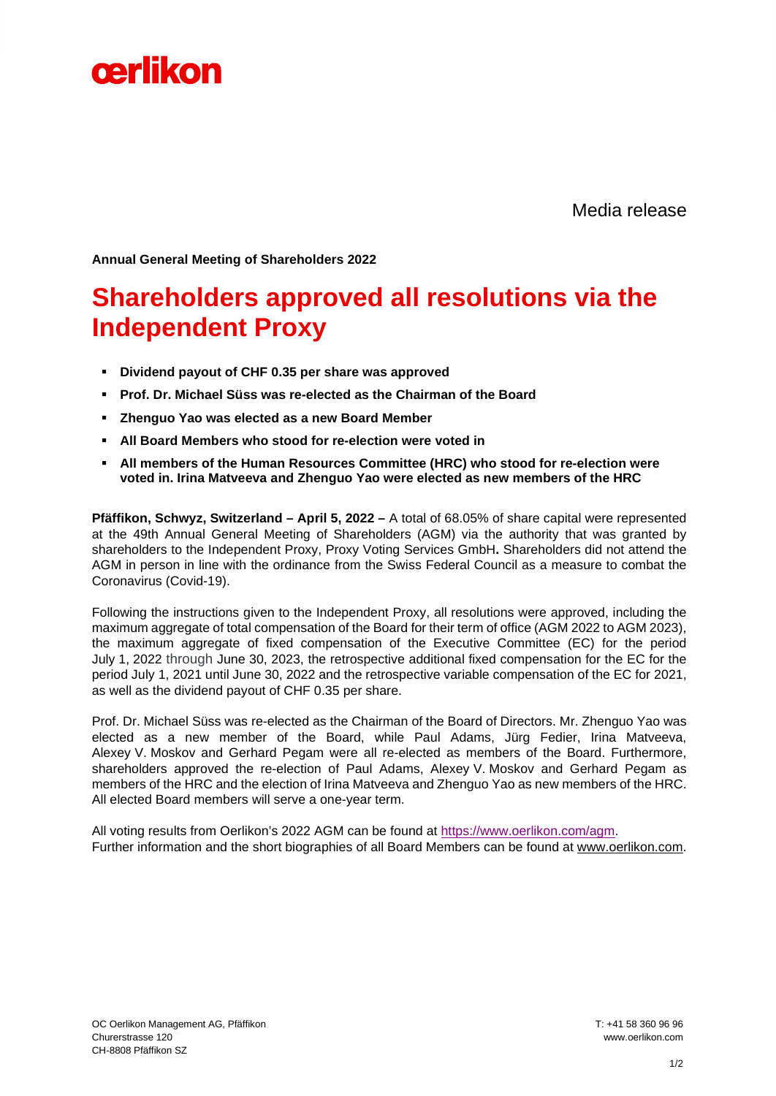

Media release

**Annual General Meeting of Shareholders 2022**

## **Shareholders approved all resolutions via the Independent Proxy**

- **Dividend payout of CHF 0.35 per share was approved**
- **Prof. Dr. Michael Süss was re-elected as the Chairman of the Board**
- **Zhenguo Yao was elected as a new Board Member**
- **All Board Members who stood for re-election were voted in**
- **All members of the Human Resources Committee (HRC) who stood for re-election were voted in. Irina Matveeva and Zhenguo Yao were elected as new members of the HRC**

**Pfäffikon, Schwyz, Switzerland – April 5, 2022 –** A total of 68.05% of share capital were represented at the 49th Annual General Meeting of Shareholders (AGM) via the authority that was granted by shareholders to the Independent Proxy, Proxy Voting Services GmbH**.** Shareholders did not attend the AGM in person in line with the ordinance from the Swiss Federal Council as a measure to combat the Coronavirus (Covid-19).

Following the instructions given to the Independent Proxy, all resolutions were approved, including the maximum aggregate of total compensation of the Board for their term of office (AGM 2022 to AGM 2023), the maximum aggregate of fixed compensation of the Executive Committee (EC) for the period July 1, 2022 through June 30, 2023, the retrospective additional fixed compensation for the EC for the period July 1, 2021 until June 30, 2022 and the retrospective variable compensation of the EC for 2021, as well as the dividend payout of CHF 0.35 per share.

Prof. Dr. Michael Süss was re-elected as the Chairman of the Board of Directors. Mr. Zhenguo Yao was elected as a new member of the Board, while Paul Adams, Jürg Fedier, Irina Matveeva, Alexey V. Moskov and Gerhard Pegam were all re-elected as members of the Board. Furthermore, shareholders approved the re-election of Paul Adams, Alexey V. Moskov and Gerhard Pegam as members of the HRC and the election of Irina Matveeva and Zhenguo Yao as new members of the HRC. All elected Board members will serve a one-year term.

All voting results from Oerlikon's 2022 AGM can be found at [https://www.oerlikon.com/agm.](https://eur01.safelinks.protection.outlook.com/?url=https%3A%2F%2Fwww.oerlikon.com%2Fagm&data=04%7C01%7CLeng.Wong%40oerlikon.com%7Cc8ccd01a0a134d70391808da139b3a8d%7C5358c2a8c6ed4ce99d04202a74f90369%7C0%7C0%7C637843854670759088%7CUnknown%7CTWFpbGZsb3d8eyJWIjoiMC4wLjAwMDAiLCJQIjoiV2luMzIiLCJBTiI6Ik1haWwiLCJXVCI6Mn0%3D%7C3000&sdata=GY%2BzmUgyjNwcn5vF85lpcWo%2Fg15JxpmakAP%2FV0Br8yk%3D&reserved=0) Further information and the short biographies of all Board Members can be found at [www.oerlikon.com.](http://www.oerlikon.com/)